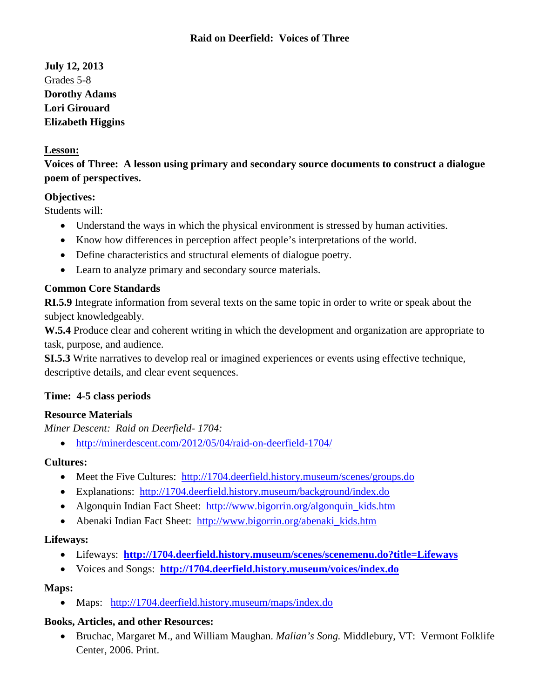# **July 12, 2013** Grades 5-8 **Dorothy Adams Lori Girouard Elizabeth Higgins**

### **Lesson:**

**Voices of Three: A lesson using primary and secondary source documents to construct a dialogue poem of perspectives.**

### **Objectives:**

Students will:

- Understand the ways in which the physical environment is stressed by human activities.
- Know how differences in perception affect people's interpretations of the world.
- Define characteristics and structural elements of dialogue poetry.
- Learn to analyze primary and secondary source materials.

### **Common Core Standards**

**RI.5.9** Integrate information from several texts on the same topic in order to write or speak about the subject knowledgeably.

**W.5.4** Produce clear and coherent writing in which the development and organization are appropriate to task, purpose, and audience.

**SI.5.3** Write narratives to develop real or imagined experiences or events using effective technique, descriptive details, and clear event sequences.

### **Time: 4-5 class periods**

### **Resource Materials**

*Miner Descent: Raid on Deerfield- 1704:*

• <http://minerdescent.com/2012/05/04/raid-on-deerfield-1704/>

### **Cultures:**

- Meet the Five Cultures: <http://1704.deerfield.history.museum/scenes/groups.do>
- Explanations: <http://1704.deerfield.history.museum/background/index.do>
- Algonquin Indian Fact Sheet: http://www.bigorrin.org/algonquin kids.htm
- Abenaki Indian Fact Sheet: http://www.bigorrin.org/abenaki kids.htm

### **Lifeways:**

- Lifeways: **<http://1704.deerfield.history.museum/scenes/scenemenu.do?title=Lifeways>**
- Voices and Songs: **<http://1704.deerfield.history.museum/voices/index.do>**

## **Maps:**

• Maps:<http://1704.deerfield.history.museum/maps/index.do>

## **Books, Articles, and other Resources:**

• Bruchac, Margaret M., and William Maughan. *Malian's Song.* Middlebury, VT: Vermont Folklife Center, 2006. Print.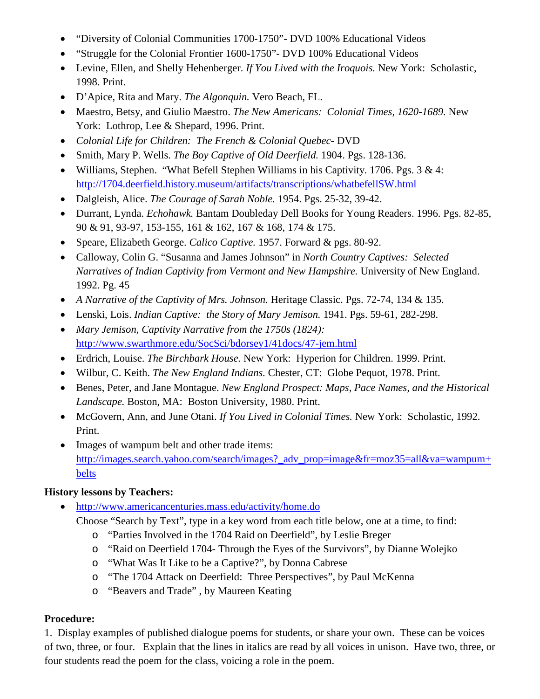- "Diversity of Colonial Communities 1700-1750"- DVD 100% Educational Videos
- "Struggle for the Colonial Frontier 1600-1750"- DVD 100% Educational Videos
- Levine, Ellen, and Shelly Hehenberger. *If You Lived with the Iroquois.* New York: Scholastic, 1998. Print.
- D'Apice, Rita and Mary. *The Algonquin.* Vero Beach, FL.
- Maestro, Betsy, and Giulio Maestro. *The New Americans: Colonial Times, 1620-1689.* New York: Lothrop, Lee & Shepard, 1996. Print.
- *Colonial Life for Children: The French & Colonial Quebec-* DVD
- Smith, Mary P. Wells. *The Boy Captive of Old Deerfield.* 1904. Pgs. 128-136.
- Williams, Stephen. "What Befell Stephen Williams in his Captivity. 1706. Pgs. 3 & 4: <http://1704.deerfield.history.museum/artifacts/transcriptions/whatbefellSW.html>
- Dalgleish, Alice. *The Courage of Sarah Noble.* 1954. Pgs. 25-32, 39-42.
- Durrant, Lynda. *Echohawk.* Bantam Doubleday Dell Books for Young Readers. 1996. Pgs. 82-85, 90 & 91, 93-97, 153-155, 161 & 162, 167 & 168, 174 & 175.
- Speare, Elizabeth George. *Calico Captive.* 1957. Forward & pgs. 80-92.
- Calloway, Colin G. "Susanna and James Johnson" in *North Country Captives: Selected Narratives of Indian Captivity from Vermont and New Hampshire.* University of New England. 1992. Pg. 45
- *A Narrative of the Captivity of Mrs. Johnson.* Heritage Classic. Pgs. 72-74, 134 & 135.
- Lenski, Lois. *Indian Captive: the Story of Mary Jemison.* 1941. Pgs. 59-61, 282-298.
- *Mary Jemison, Captivity Narrative from the 1750s (1824):* <http://www.swarthmore.edu/SocSci/bdorsey1/41docs/47-jem.html>
- Erdrich, Louise. *The Birchbark House.* New York: Hyperion for Children. 1999. Print.
- Wilbur, C. Keith. *The New England Indians.* Chester, CT: Globe Pequot, 1978. Print.
- Benes, Peter, and Jane Montague. *New England Prospect: Maps, Pace Names, and the Historical Landscape.* Boston, MA: Boston University, 1980. Print.
- McGovern, Ann, and June Otani. *If You Lived in Colonial Times.* New York: Scholastic, 1992. Print.
- Images of wampum belt and other trade items: [http://images.search.yahoo.com/search/images?\\_adv\\_prop=image&fr=moz35=all&va=wampum+](http://images.search.yahoo.com/search/images?_adv_prop=image&fr=moz35=all&va=wampum+belts) [belts](http://images.search.yahoo.com/search/images?_adv_prop=image&fr=moz35=all&va=wampum+belts)

# **History lessons by Teachers:**

- <http://www.americancenturies.mass.edu/activity/home.do>
	- Choose "Search by Text", type in a key word from each title below, one at a time, to find:
		- o "Parties Involved in the 1704 Raid on Deerfield", by Leslie Breger
		- o "Raid on Deerfield 1704- Through the Eyes of the Survivors", by Dianne Wolejko
		- o "What Was It Like to be a Captive?", by Donna Cabrese
		- o "The 1704 Attack on Deerfield: Three Perspectives", by Paul McKenna
		- o "Beavers and Trade" , by Maureen Keating

# **Procedure:**

1. Display examples of published dialogue poems for students, or share your own. These can be voices of two, three, or four. Explain that the lines in italics are read by all voices in unison. Have two, three, or four students read the poem for the class, voicing a role in the poem.